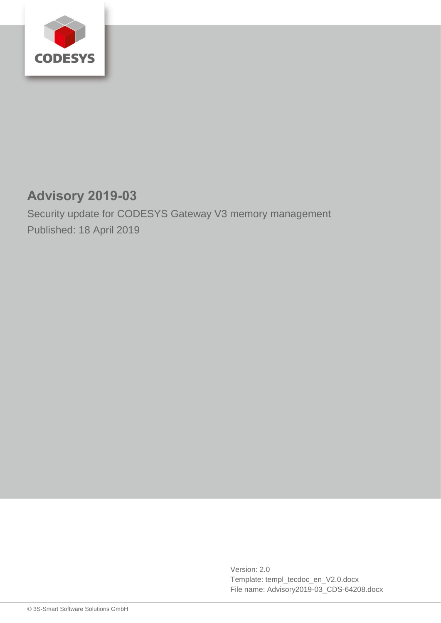

## **Advisory 2019-03**

Security update for CODESYS Gateway V3 memory management Published: 18 April 2019

> Version: 2.0 Template: templ\_tecdoc\_en\_V2.0.docx File name: Advisory2019-03\_CDS-64208.docx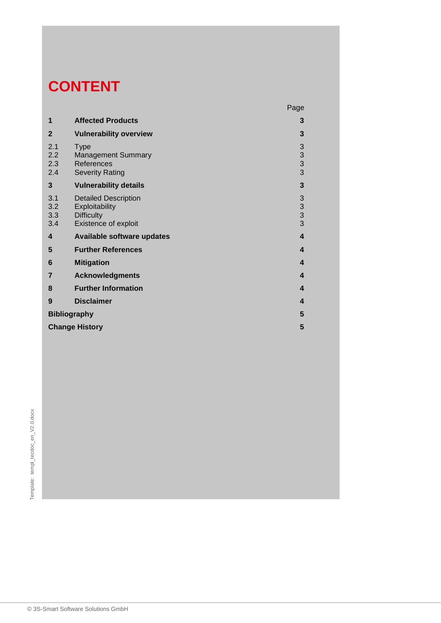# **CONTENT**

|                          |                                                                                            | Page                                       |
|--------------------------|--------------------------------------------------------------------------------------------|--------------------------------------------|
| 1                        | <b>Affected Products</b>                                                                   | 3                                          |
| $\overline{2}$           | <b>Vulnerability overview</b>                                                              | 3                                          |
| 2.1<br>2.2<br>2.3<br>2.4 | <b>Type</b><br><b>Management Summary</b><br>References<br><b>Severity Rating</b>           | 3<br>$\begin{array}{c} 3 \\ 3 \end{array}$ |
| 3                        | <b>Vulnerability details</b>                                                               | 3                                          |
| 3.1<br>3.2<br>3.3<br>3.4 | <b>Detailed Description</b><br>Exploitability<br><b>Difficulty</b><br>Existence of exploit | $\begin{array}{c} 3 \\ 3 \\ 3 \end{array}$ |
| 4                        | Available software updates                                                                 | $\overline{\mathbf{4}}$                    |
| 5                        | <b>Further References</b>                                                                  | $\overline{\mathbf{4}}$                    |
| 6                        | <b>Mitigation</b>                                                                          | $\boldsymbol{4}$                           |
| $\overline{7}$           | <b>Acknowledgments</b>                                                                     | 4                                          |
| 8                        | <b>Further Information</b>                                                                 | 4                                          |
| 9                        | <b>Disclaimer</b>                                                                          | 4                                          |
| <b>Bibliography</b>      |                                                                                            | 5                                          |
| <b>Change History</b>    |                                                                                            |                                            |

o 3S-Smart Software Solutions GmbH<br>
■<br>
© 3S-Smart Software Solutions GmbH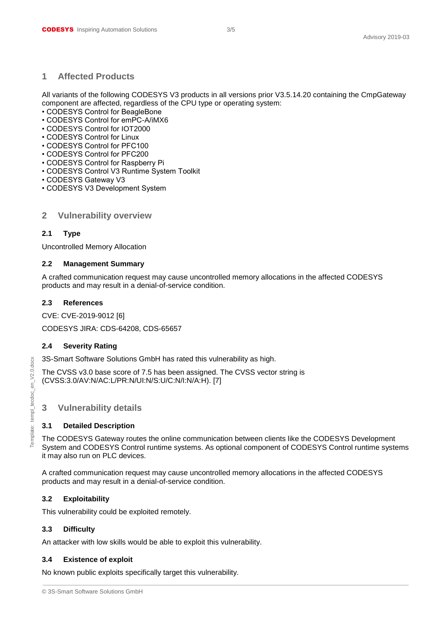#### <span id="page-2-0"></span>**1 Affected Products**

All variants of the following CODESYS V3 products in all versions prior V3.5.14.20 containing the CmpGateway component are affected, regardless of the CPU type or operating system:

- CODESYS Control for BeagleBone
- CODESYS Control for emPC-A/iMX6
- CODESYS Control for IOT2000
- CODESYS Control for Linux
- CODESYS Control for PFC100
- CODESYS Control for PFC200
- CODESYS Control for Raspberry Pi
- CODESYS Control V3 Runtime System Toolkit
- CODESYS Gateway V3
- <span id="page-2-1"></span>• CODESYS V3 Development System

#### **2 Vulnerability overview**

#### <span id="page-2-2"></span>**2.1 Type**

Uncontrolled Memory Allocation

#### <span id="page-2-3"></span>**2.2 Management Summary**

A crafted communication request may cause uncontrolled memory allocations in the affected CODESYS products and may result in a denial-of-service condition.

#### <span id="page-2-4"></span>**2.3 References**

CVE: CVE-2019-9012 [6] CODESYS JIRA: CDS-64208, CDS-65657

### <span id="page-2-5"></span>**2.4 Severity Rating**

3S-Smart Software Solutions GmbH has rated this vulnerability as high.

The CVSS v3.0 base score of 7.5 has been assigned. The CVSS vector string is (CVSS:3.0/AV:N/AC:L/PR:N/UI:N/S:U/C:N/I:N/A:H). [7]

#### <span id="page-2-6"></span>**3 Vulnerability details**

#### <span id="page-2-7"></span>**3.1 Detailed Description**

The CODESYS Gateway routes the online communication between clients like the CODESYS Development System and CODESYS Control runtime systems. As optional component of CODESYS Control runtime systems it may also run on PLC devices.

A crafted communication request may cause uncontrolled memory allocations in the affected CODESYS products and may result in a denial-of-service condition.

#### <span id="page-2-8"></span>**3.2 Exploitability**

This vulnerability could be exploited remotely.

#### <span id="page-2-9"></span>**3.3 Difficulty**

An attacker with low skills would be able to exploit this vulnerability.

#### <span id="page-2-10"></span>**3.4 Existence of exploit**

No known public exploits specifically target this vulnerability.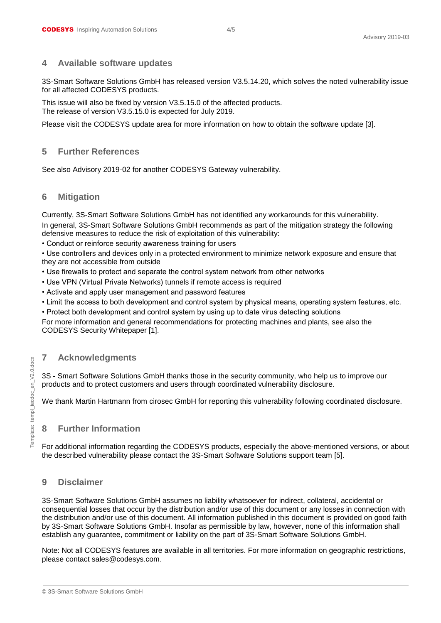#### <span id="page-3-0"></span>**4 Available software updates**

3S-Smart Software Solutions GmbH has released version V3.5.14.20, which solves the noted vulnerability issue for all affected CODESYS products.

This issue will also be fixed by version V3.5.15.0 of the affected products. The release of version V3.5.15.0 is expected for July 2019.

<span id="page-3-1"></span>Please visit the CODESYS update area for more information on how to obtain the software update [3].

#### **5 Further References**

<span id="page-3-2"></span>See also Advisory 2019-02 for another CODESYS Gateway vulnerability.

#### **6 Mitigation**

Currently, 3S-Smart Software Solutions GmbH has not identified any workarounds for this vulnerability. In general, 3S-Smart Software Solutions GmbH recommends as part of the mitigation strategy the following defensive measures to reduce the risk of exploitation of this vulnerability:

• Conduct or reinforce security awareness training for users

• Use controllers and devices only in a protected environment to minimize network exposure and ensure that they are not accessible from outside

- Use firewalls to protect and separate the control system network from other networks
- Use VPN (Virtual Private Networks) tunnels if remote access is required
- Activate and apply user management and password features
- Limit the access to both development and control system by physical means, operating system features, etc.

• Protect both development and control system by using up to date virus detecting solutions

For more information and general recommendations for protecting machines and plants, see also the CODESYS Security Whitepaper [1].

### <span id="page-3-3"></span>**7 Acknowledgments**

3S - Smart Software Solutions GmbH thanks those in the security community, who help us to improve our products and to protect customers and users through coordinated vulnerability disclosure.

<span id="page-3-4"></span>We thank Martin Hartmann from cirosec GmbH for reporting this vulnerability following coordinated disclosure.

#### **8 Further Information**

For additional information regarding the CODESYS products, especially the above-mentioned versions, or about the described vulnerability please contact the 3S-Smart Software Solutions support team [5].

#### <span id="page-3-5"></span>**9 Disclaimer**

3S-Smart Software Solutions GmbH assumes no liability whatsoever for indirect, collateral, accidental or consequential losses that occur by the distribution and/or use of this document or any losses in connection with the distribution and/or use of this document. All information published in this document is provided on good faith by 3S-Smart Software Solutions GmbH. Insofar as permissible by law, however, none of this information shall establish any guarantee, commitment or liability on the part of 3S-Smart Software Solutions GmbH.

Note: Not all CODESYS features are available in all territories. For more information on geographic restrictions, please contact sales@codesys.com.